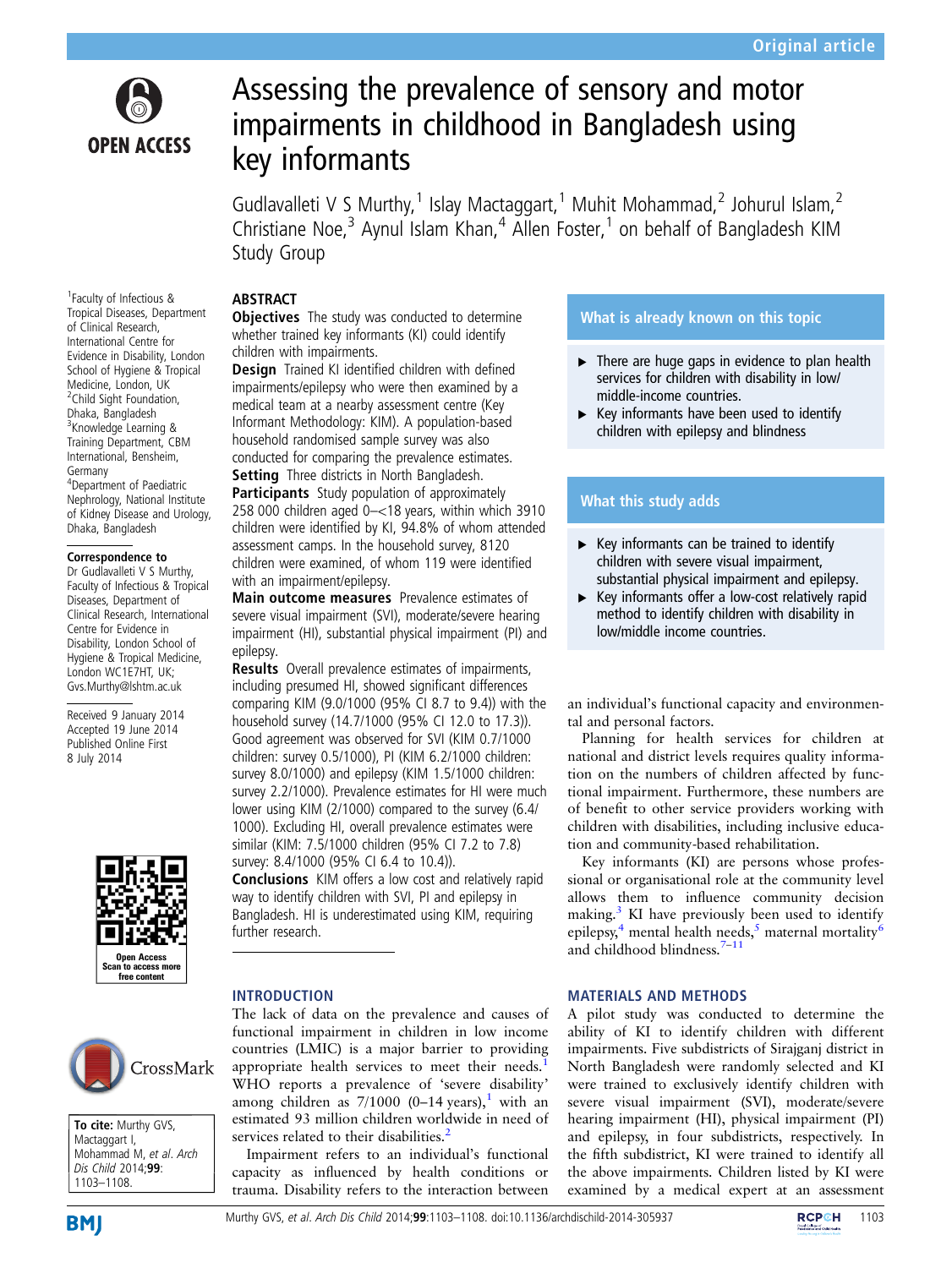

# Assessing the prevalence of sensory and motor impairments in childhood in Bangladesh using key informants

Gudlavalleti V S Murthy,<sup>1</sup> Islay Mactaggart,<sup>1</sup> Muhit Mohammad,<sup>2</sup> Johurul Islam,<sup>2</sup> Christiane Noe,<sup>3</sup> Aynul Islam Khan,<sup>4</sup> Allen Foster,<sup>1</sup> on behalf of Bangladesh KIM Study Group

# ABSTRACT

**Objectives** The study was conducted to determine whether trained key informants (KI) could identify children with impairments.

Design Trained KI identified children with defined impairments/epilepsy who were then examined by a medical team at a nearby assessment centre (Key Informant Methodology: KIM). A population-based household randomised sample survey was also conducted for comparing the prevalence estimates. Setting Three districts in North Bangladesh.

Participants Study population of approximately 258 000 children aged 0–<18 years, within which 3910 children were identified by KI, 94.8% of whom attended assessment camps. In the household survey, 8120 children were examined, of whom 119 were identified with an impairment/epilepsy.

Main outcome measures Prevalence estimates of severe visual impairment (SVI), moderate/severe hearing impairment (HI), substantial physical impairment (PI) and epilepsy.

Results Overall prevalence estimates of impairments, including presumed HI, showed significant differences comparing KIM (9.0/1000 (95% CI 8.7 to 9.4)) with the household survey (14.7/1000 (95% CI 12.0 to 17.3)). Good agreement was observed for SVI (KIM 0.7/1000 children: survey 0.5/1000), PI (KIM 6.2/1000 children: survey 8.0/1000) and epilepsy (KIM 1.5/1000 children: survey 2.2/1000). Prevalence estimates for HI were much lower using KIM (2/1000) compared to the survey (6.4/ 1000). Excluding HI, overall prevalence estimates were similar (KIM: 7.5/1000 children (95% CI 7.2 to 7.8) survey: 8.4/1000 (95% CI 6.4 to 10.4)).

Conclusions KIM offers a low cost and relatively rapid way to identify children with SVI, PI and epilepsy in Bangladesh. HI is underestimated using KIM, requiring further research.

# INTRODUCTION

The lack of data on the prevalence and causes of functional impairment in children in low income countries (LMIC) is a major barrier to providing appropriate health services to meet their needs.<sup>[1](#page-4-0)</sup> WHO reports a prevalence of 'severe disability' among children as  $7/1000$  $7/1000$  $7/1000$  (0–14 years),<sup>1</sup> with an estimated 93 million children worldwide in need of services related to their disabilities.<sup>[2](#page-4-0)</sup>

Impairment refers to an individual's functional capacity as influenced by health conditions or trauma. Disability refers to the interaction between

# What is already known on this topic

- $\triangleright$  There are huge gaps in evidence to plan health services for children with disability in low/ middle-income countries.
- $\triangleright$  Key informants have been used to identify children with epilepsy and blindness

# What this study adds

- $\triangleright$  Key informants can be trained to identify children with severe visual impairment, substantial physical impairment and epilepsy.
- ► Key informants offer a low-cost relatively rapid method to identify children with disability in low/middle income countries.

an individual's functional capacity and environmental and personal factors.

Planning for health services for children at national and district levels requires quality information on the numbers of children affected by functional impairment. Furthermore, these numbers are of benefit to other service providers working with children with disabilities, including inclusive education and community-based rehabilitation.

Key informants (KI) are persons whose professional or organisational role at the community level allows them to influence community decision making.<sup>[3](#page-5-0)</sup> KI have previously been used to identify epilepsy, $4$  mental health needs, $5$  maternal mortality $6$ and childhood blindness. $7-11$  $7-11$  $7-11$ 

# MATERIALS AND METHODS

A pilot study was conducted to determine the ability of KI to identify children with different impairments. Five subdistricts of Sirajganj district in North Bangladesh were randomly selected and KI were trained to exclusively identify children with severe visual impairment (SVI), moderate/severe hearing impairment (HI), physical impairment (PI) and epilepsy, in four subdistricts, respectively. In the fifth subdistrict, KI were trained to identify all the above impairments. Children listed by KI were examined by a medical expert at an assessment

1 Faculty of Infectious & Tropical Diseases, Department of Clinical Research, International Centre for Evidence in Disability, London School of Hygiene & Tropical Medicine, London, UK <sup>2</sup>Child Sight Foundation, Dhaka, Bangladesh <sup>3</sup>Knowledge Learning & Training Department, CBM International, Bensheim, Germany 4 Department of Paediatric Nephrology, National Institute of Kidney Disease and Urology, Dhaka, Bangladesh

#### Correspondence to

Dr Gudlavalleti V S Murthy, Faculty of Infectious & Tropical Diseases, Department of Clinical Research, International Centre for Evidence in Disability, London School of Hygiene & Tropical Medicine, London WC1E7HT, UK; Gvs.Murthy@lshtm.ac.uk

Received 9 January 2014 Accepted 19 June 2014 Published Online First 8 July 2014





To cite: Murthy GVS, Mactaggart I, Mohammad M, et al. Arch Dis Child 2014;99: 1103–1108.

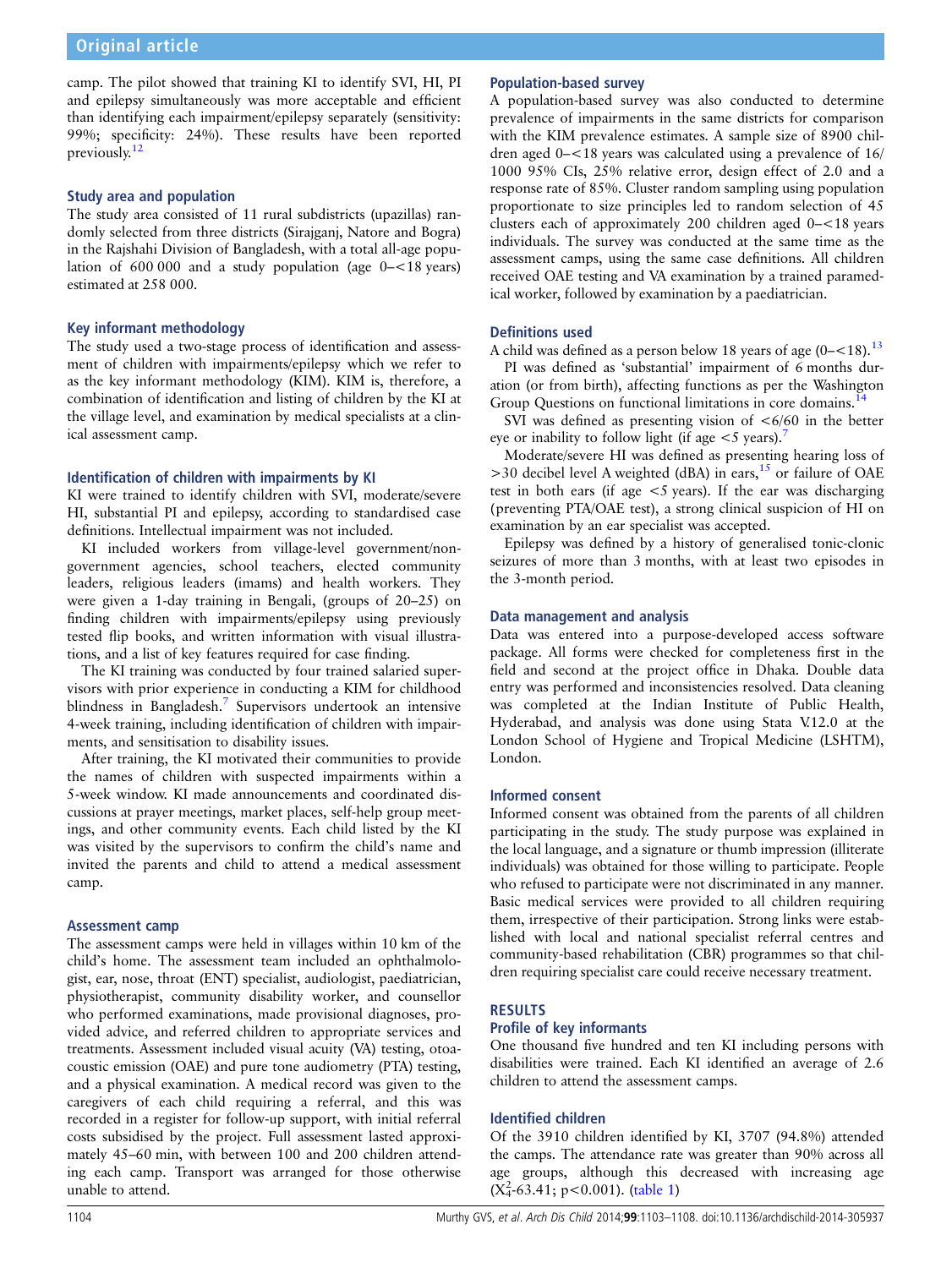camp. The pilot showed that training KI to identify SVI, HI, PI and epilepsy simultaneously was more acceptable and efficient than identifying each impairment/epilepsy separately (sensitivity: 99%; specificity: 24%). These results have been reported previously.[12](#page-5-0)

# Study area and population

The study area consisted of 11 rural subdistricts (upazillas) randomly selected from three districts (Sirajganj, Natore and Bogra) in the Rajshahi Division of Bangladesh, with a total all-age population of 600 000 and a study population (age 0–<18 years) estimated at 258 000.

## Key informant methodology

The study used a two-stage process of identification and assessment of children with impairments/epilepsy which we refer to as the key informant methodology (KIM). KIM is, therefore, a combination of identification and listing of children by the KI at the village level, and examination by medical specialists at a clinical assessment camp.

## Identification of children with impairments by KI

KI were trained to identify children with SVI, moderate/severe HI, substantial PI and epilepsy, according to standardised case definitions. Intellectual impairment was not included.

KI included workers from village-level government/nongovernment agencies, school teachers, elected community leaders, religious leaders (imams) and health workers. They were given a 1-day training in Bengali, (groups of 20–25) on finding children with impairments/epilepsy using previously tested flip books, and written information with visual illustrations, and a list of key features required for case finding.

The KI training was conducted by four trained salaried supervisors with prior experience in conducting a KIM for childhood blindness in Bangladesh.<sup>7</sup> Supervisors undertook an intensive 4-week training, including identification of children with impairments, and sensitisation to disability issues.

After training, the KI motivated their communities to provide the names of children with suspected impairments within a 5-week window. KI made announcements and coordinated discussions at prayer meetings, market places, self-help group meetings, and other community events. Each child listed by the KI was visited by the supervisors to confirm the child's name and invited the parents and child to attend a medical assessment camp.

#### Assessment camp

The assessment camps were held in villages within 10 km of the child's home. The assessment team included an ophthalmologist, ear, nose, throat (ENT) specialist, audiologist, paediatrician, physiotherapist, community disability worker, and counsellor who performed examinations, made provisional diagnoses, provided advice, and referred children to appropriate services and treatments. Assessment included visual acuity (VA) testing, otoacoustic emission (OAE) and pure tone audiometry (PTA) testing, and a physical examination. A medical record was given to the caregivers of each child requiring a referral, and this was recorded in a register for follow-up support, with initial referral costs subsidised by the project. Full assessment lasted approximately 45–60 min, with between 100 and 200 children attending each camp. Transport was arranged for those otherwise unable to attend.

# Population-based survey

A population-based survey was also conducted to determine prevalence of impairments in the same districts for comparison with the KIM prevalence estimates. A sample size of 8900 children aged 0–<18 years was calculated using a prevalence of 16/ 1000 95% CIs, 25% relative error, design effect of 2.0 and a response rate of 85%. Cluster random sampling using population proportionate to size principles led to random selection of 45 clusters each of approximately 200 children aged 0–<18 years individuals. The survey was conducted at the same time as the assessment camps, using the same case definitions. All children received OAE testing and VA examination by a trained paramedical worker, followed by examination by a paediatrician.

## Definitions used

A child was defined as a person below 18 years of age  $(0 - < 18)$ .<sup>[13](#page-5-0)</sup>

PI was defined as 'substantial' impairment of 6 months duration (or from birth), affecting functions as per the Washington Group Questions on functional limitations in core domains.<sup>1</sup>

SVI was defined as presenting vision of  $\lt 6/60$  in the better eye or inability to follow light (if age  $\lt$  5 years).<sup>[7](#page-5-0)</sup>

Moderate/severe HI was defined as presenting hearing loss of  $>$ 30 decibel level A weighted (dBA) in ears,<sup>15</sup> or failure of OAE test in both ears (if age  $\lt 5$  years). If the ear was discharging (preventing PTA/OAE test), a strong clinical suspicion of HI on examination by an ear specialist was accepted.

Epilepsy was defined by a history of generalised tonic-clonic seizures of more than 3 months, with at least two episodes in the 3-month period.

#### Data management and analysis

Data was entered into a purpose-developed access software package. All forms were checked for completeness first in the field and second at the project office in Dhaka. Double data entry was performed and inconsistencies resolved. Data cleaning was completed at the Indian Institute of Public Health, Hyderabad, and analysis was done using Stata V.12.0 at the London School of Hygiene and Tropical Medicine (LSHTM), London.

# Informed consent

Informed consent was obtained from the parents of all children participating in the study. The study purpose was explained in the local language, and a signature or thumb impression (illiterate individuals) was obtained for those willing to participate. People who refused to participate were not discriminated in any manner. Basic medical services were provided to all children requiring them, irrespective of their participation. Strong links were established with local and national specialist referral centres and community-based rehabilitation (CBR) programmes so that children requiring specialist care could receive necessary treatment.

#### RESULTS

#### Profile of key informants

One thousand five hundred and ten KI including persons with disabilities were trained. Each KI identified an average of 2.6 children to attend the assessment camps.

#### Identified children

Of the 3910 children identified by KI, 3707 (94.8%) attended the camps. The attendance rate was greater than 90% across all age groups, although this decreased with increasing age  $(X_4^2$ -63.41; p<0.001). ([table 1\)](#page-2-0)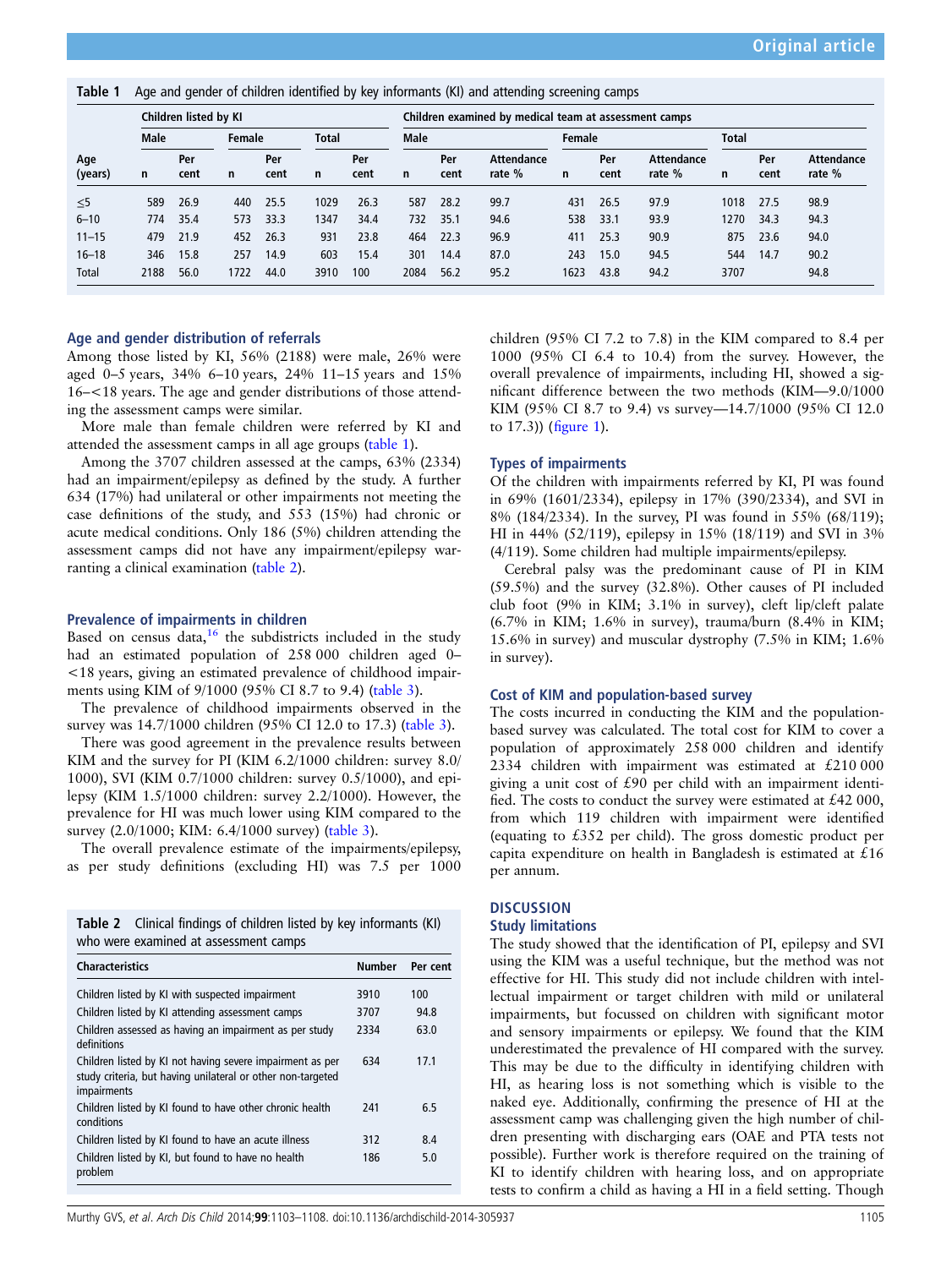<span id="page-2-0"></span>Table 1 Age and gender of children identified by key informants (KI) and attending screening camps

|                | Children listed by KI |             |              |             |              |             | Children examined by medical team at assessment camps |             |                             |        |             |                             |              |             |                             |
|----------------|-----------------------|-------------|--------------|-------------|--------------|-------------|-------------------------------------------------------|-------------|-----------------------------|--------|-------------|-----------------------------|--------------|-------------|-----------------------------|
|                | <b>Male</b>           |             | Female       |             | <b>Total</b> |             | <b>Male</b>                                           |             |                             | Female |             |                             | <b>Total</b> |             |                             |
| Age<br>(years) | n                     | Per<br>cent | $\mathsf{n}$ | Per<br>cent | n            | Per<br>cent | $\mathsf{n}$                                          | Per<br>cent | <b>Attendance</b><br>rate % | n      | Per<br>cent | <b>Attendance</b><br>rate % | n            | Per<br>cent | <b>Attendance</b><br>rate % |
| $\leq$ 5       | 589                   | 26.9        | 440          | 25.5        | 1029         | 26.3        | 587                                                   | 28.2        | 99.7                        | 431    | 26.5        | 97.9                        | 1018         | 27.5        | 98.9                        |
| $6 - 10$       | 774                   | 35.4        | 573          | 33.3        | 1347         | 34.4        | 732                                                   | 35.1        | 94.6                        | 538    | 33.1        | 93.9                        | 1270         | 34.3        | 94.3                        |
| $11 - 15$      | 479                   | 21.9        | 452          | 26.3        | 931          | 23.8        | 464                                                   | 22.3        | 96.9                        | 411    | 25.3        | 90.9                        | 875          | 23.6        | 94.0                        |
| $16 - 18$      | 346                   | 15.8        | 257          | 14.9        | 603          | 15.4        | 301                                                   | 14.4        | 87.0                        | 243    | 15.0        | 94.5                        | 544          | 14.7        | 90.2                        |
| Total          | 2188                  | 56.0        | 1722         | 44.0        | 3910         | 100         | 2084                                                  | 56.2        | 95.2                        | 1623   | 43.8        | 94.2                        | 3707         |             | 94.8                        |

# Age and gender distribution of referrals

Among those listed by KI, 56% (2188) were male, 26% were aged 0–5 years, 34% 6–10 years, 24% 11–15 years and 15% 16–<18 years. The age and gender distributions of those attending the assessment camps were similar.

More male than female children were referred by KI and attended the assessment camps in all age groups (table 1).

Among the 3707 children assessed at the camps, 63% (2334) had an impairment/epilepsy as defined by the study. A further 634 (17%) had unilateral or other impairments not meeting the case definitions of the study, and 553 (15%) had chronic or acute medical conditions. Only 186 (5%) children attending the assessment camps did not have any impairment/epilepsy warranting a clinical examination (table 2).

## Prevalence of impairments in children

Based on census data, $16$  the subdistricts included in the study had an estimated population of 258 000 children aged 0– <18 years, giving an estimated prevalence of childhood impairments using KIM of 9/1000 (95% CI 8.7 to 9.4) ([table 3\)](#page-3-0).

The prevalence of childhood impairments observed in the survey was 14.7/1000 children (95% CI 12.0 to 17.3) ([table 3\)](#page-3-0).

There was good agreement in the prevalence results between KIM and the survey for PI (KIM 6.2/1000 children: survey 8.0/ 1000), SVI (KIM 0.7/1000 children: survey 0.5/1000), and epilepsy (KIM 1.5/1000 children: survey 2.2/1000). However, the prevalence for HI was much lower using KIM compared to the survey (2.0/1000; KIM: 6.4/1000 survey) ([table 3\)](#page-3-0).

The overall prevalence estimate of the impairments/epilepsy, as per study definitions (excluding HI) was 7.5 per 1000

Table 2 Clinical findings of children listed by key informants (KI) who were examined at assessment camps

| <b>Characteristics</b>                                                                                                                  | <b>Number</b> | Per cent |
|-----------------------------------------------------------------------------------------------------------------------------------------|---------------|----------|
| Children listed by KI with suspected impairment                                                                                         | 3910          | 100      |
| Children listed by KI attending assessment camps                                                                                        | 3707          | 94.8     |
| Children assessed as having an impairment as per study<br>definitions                                                                   | 2334          | 63.0     |
| Children listed by KI not having severe impairment as per<br>study criteria, but having unilateral or other non-targeted<br>impairments | 634           | 17.1     |
| Children listed by KI found to have other chronic health<br>conditions                                                                  | 241           | 6.5      |
| Children listed by KI found to have an acute illness                                                                                    | 312           | 8.4      |
| Children listed by KI, but found to have no health<br>problem                                                                           | 186           | 5.0      |

children (95% CI 7.2 to 7.8) in the KIM compared to 8.4 per 1000 (95% CI 6.4 to 10.4) from the survey. However, the overall prevalence of impairments, including HI, showed a significant difference between the two methods (KIM—9.0/1000 KIM (95% CI 8.7 to 9.4) vs survey—14.7/1000 (95% CI 12.0 to 17.3)) (fi[gure 1\)](#page-3-0).

#### Types of impairments

Of the children with impairments referred by KI, PI was found in 69% (1601/2334), epilepsy in 17% (390/2334), and SVI in 8% (184/2334). In the survey, PI was found in 55% (68/119); HI in 44% (52/119), epilepsy in 15% (18/119) and SVI in 3% (4/119). Some children had multiple impairments/epilepsy.

Cerebral palsy was the predominant cause of PI in KIM (59.5%) and the survey (32.8%). Other causes of PI included club foot (9% in KIM; 3.1% in survey), cleft lip/cleft palate (6.7% in KIM; 1.6% in survey), trauma/burn (8.4% in KIM; 15.6% in survey) and muscular dystrophy (7.5% in KIM; 1.6% in survey).

#### Cost of KIM and population-based survey

The costs incurred in conducting the KIM and the populationbased survey was calculated. The total cost for KIM to cover a population of approximately 258 000 children and identify 2334 children with impairment was estimated at £210 000 giving a unit cost of £90 per child with an impairment identified. The costs to conduct the survey were estimated at  $£42000$ , from which 119 children with impairment were identified (equating to £352 per child). The gross domestic product per capita expenditure on health in Bangladesh is estimated at £16 per annum.

# **DISCUSSION**

# Study limitations

The study showed that the identification of PI, epilepsy and SVI using the KIM was a useful technique, but the method was not effective for HI. This study did not include children with intellectual impairment or target children with mild or unilateral impairments, but focussed on children with significant motor and sensory impairments or epilepsy. We found that the KIM underestimated the prevalence of HI compared with the survey. This may be due to the difficulty in identifying children with HI, as hearing loss is not something which is visible to the naked eye. Additionally, confirming the presence of HI at the assessment camp was challenging given the high number of children presenting with discharging ears (OAE and PTA tests not possible). Further work is therefore required on the training of KI to identify children with hearing loss, and on appropriate tests to confirm a child as having a HI in a field setting. Though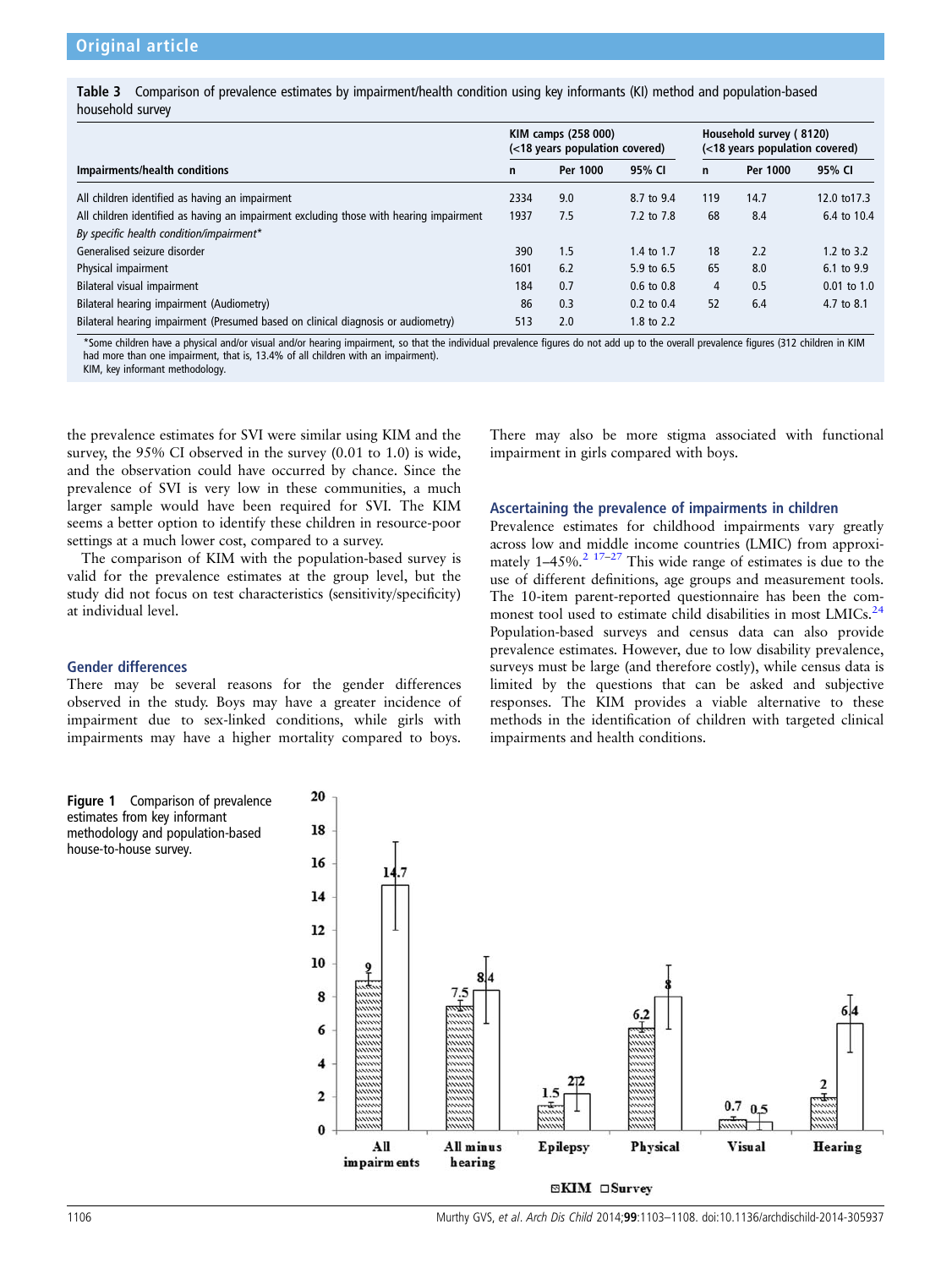<span id="page-3-0"></span>Table 3 Comparison of prevalence estimates by impairment/health condition using key informants (KI) method and population-based household survey

|                                                                                         | KIM camps (258 000)<br>(<18 years population covered) |          |                |             | Household survey (8120)<br>(<18 years population covered) |                 |  |
|-----------------------------------------------------------------------------------------|-------------------------------------------------------|----------|----------------|-------------|-----------------------------------------------------------|-----------------|--|
| Impairments/health conditions                                                           | n                                                     | Per 1000 | 95% CI         | $\mathbf n$ | Per 1000                                                  | 95% CI          |  |
| All children identified as having an impairment                                         | 2334                                                  | 9.0      | 8.7 to 9.4     | 119         | 14.7                                                      | 12.0 to 17.3    |  |
| All children identified as having an impairment excluding those with hearing impairment | 1937                                                  | 7.5      | 7.2 to 7.8     | 68          | 8.4                                                       | 6.4 to 10.4     |  |
| By specific health condition/impairment*                                                |                                                       |          |                |             |                                                           |                 |  |
| Generalised seizure disorder                                                            | 390                                                   | 1.5      | 1.4 to 1.7     | 18          | 2.2                                                       | 1.2 to 3.2      |  |
| Physical impairment                                                                     | 1601                                                  | 6.2      | 5.9 to 6.5     | 65          | 8.0                                                       | 6.1 to 9.9      |  |
| Bilateral visual impairment                                                             | 184                                                   | 0.7      | $0.6$ to $0.8$ | 4           | 0.5                                                       | $0.01$ to $1.0$ |  |
| Bilateral hearing impairment (Audiometry)                                               | 86                                                    | 0.3      | $0.2$ to $0.4$ | 52          | 6.4                                                       | 4.7 to 8.1      |  |
| Bilateral hearing impairment (Presumed based on clinical diagnosis or audiometry)       |                                                       | 2.0      | 1.8 to 2.2     |             |                                                           |                 |  |

\*Some children have a physical and/or visual and/or hearing impairment, so that the individual prevalence figures do not add up to the overall prevalence figures (312 children in KIM had more than one impairment, that is, 13.4% of all children with an impairment). KIM, key informant methodology.

the prevalence estimates for SVI were similar using KIM and the survey, the 95% CI observed in the survey  $(0.01 \text{ to } 1.0)$  is wide. and the observation could have occurred by chance. Since the prevalence of SVI is very low in these communities, a much larger sample would have been required for SVI. The KIM seems a better option to identify these children in resource-poor settings at a much lower cost, compared to a survey.

The comparison of KIM with the population-based survey is valid for the prevalence estimates at the group level, but the study did not focus on test characteristics (sensitivity/specificity) at individual level.

# Gender differences

There may be several reasons for the gender differences observed in the study. Boys may have a greater incidence of impairment due to sex-linked conditions, while girls with impairments may have a higher mortality compared to boys.

There may also be more stigma associated with functional impairment in girls compared with boys.

#### Ascertaining the prevalence of impairments in children

Prevalence estimates for childhood impairments vary greatly across low and middle income countries (LMIC) from approximately  $1-45\%$ .<sup>[2](#page-4-0) [17](#page-5-0)–[27](#page-5-0)</sup> This wide range of estimates is due to the use of different definitions, age groups and measurement tools. The 10-item parent-reported questionnaire has been the com-monest tool used to estimate child disabilities in most LMICs.<sup>[24](#page-5-0)</sup> Population-based surveys and census data can also provide prevalence estimates. However, due to low disability prevalence, surveys must be large (and therefore costly), while census data is limited by the questions that can be asked and subjective responses. The KIM provides a viable alternative to these methods in the identification of children with targeted clinical impairments and health conditions.



Figure 1 Comparison of prevalence estimates from key informant methodology and population-based house-to-house survey.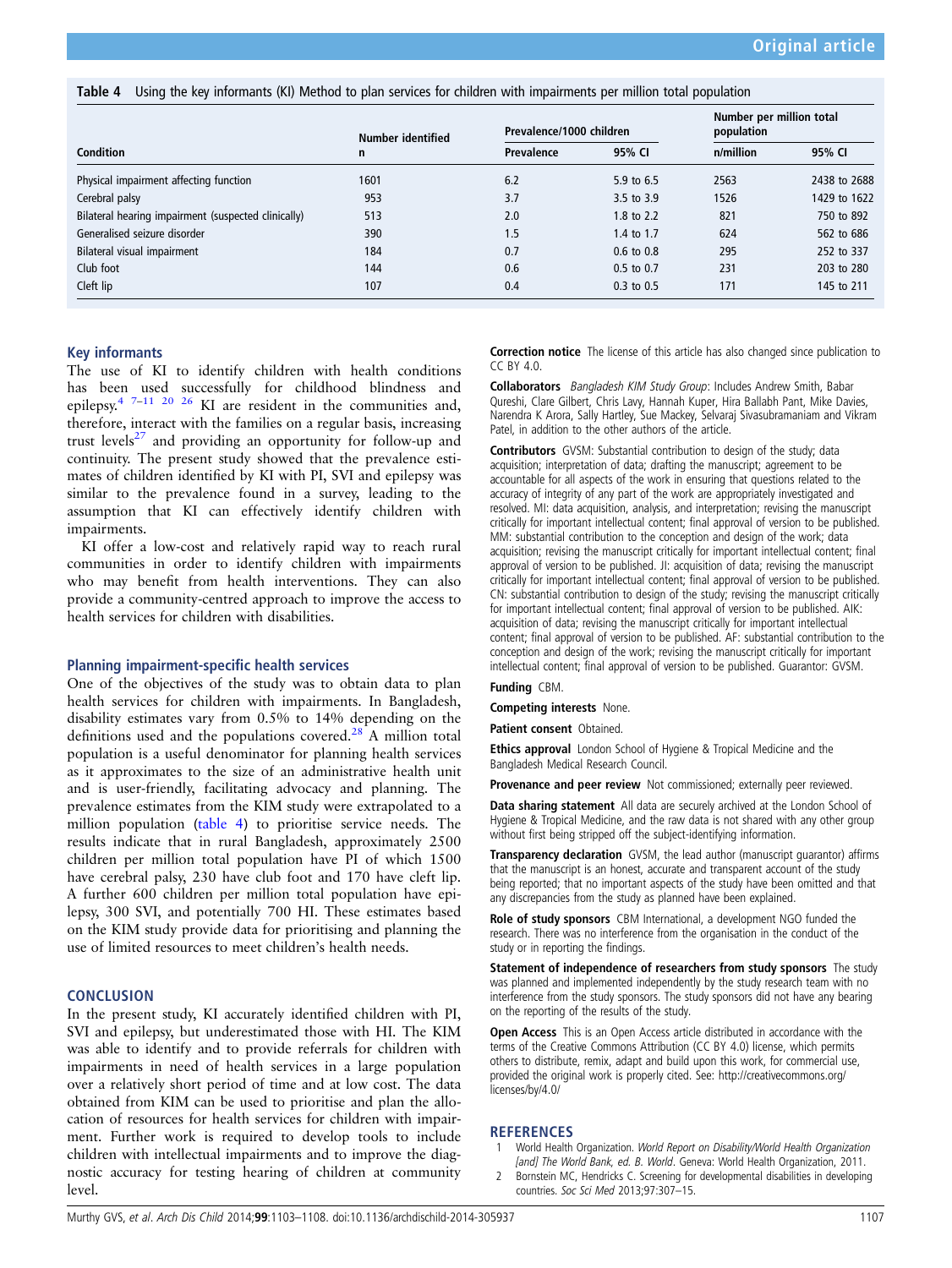<span id="page-4-0"></span>Table 4 Using the key informants (KI) Method to plan services for children with impairments per million total population

|                                                     | Number identified | Prevalence/1000 children |                | Number per million total<br>population |              |  |
|-----------------------------------------------------|-------------------|--------------------------|----------------|----------------------------------------|--------------|--|
| <b>Condition</b>                                    | n                 | Prevalence               | 95% CI         | n/million                              | 95% CI       |  |
| Physical impairment affecting function              | 1601              | 6.2                      | 5.9 to 6.5     | 2563                                   | 2438 to 2688 |  |
| Cerebral palsy                                      | 953               | 3.7                      | 3.5 to 3.9     | 1526                                   | 1429 to 1622 |  |
| Bilateral hearing impairment (suspected clinically) | 513               | 2.0                      | 1.8 to 2.2     | 821                                    | 750 to 892   |  |
| Generalised seizure disorder                        | 390               | 1.5                      | 1.4 to 1.7     | 624                                    | 562 to 686   |  |
| Bilateral visual impairment                         | 184               | 0.7                      | $0.6$ to $0.8$ | 295                                    | 252 to 337   |  |
| Club foot                                           | 144               | 0.6                      | $0.5$ to $0.7$ | 231                                    | 203 to 280   |  |
| Cleft lip                                           | 107               | 0.4                      | 0.3 to 0.5     | 171                                    | 145 to 211   |  |

# Key informants

The use of KI to identify children with health conditions has been used successfully for childhood blindness and epilepsy.<sup>[4 7](#page-5-0)–[11 20 26](#page-5-0)</sup> KI are resident in the communities and, therefore, interact with the families on a regular basis, increasing trust levels $27$  and providing an opportunity for follow-up and continuity. The present study showed that the prevalence estimates of children identified by KI with PI, SVI and epilepsy was similar to the prevalence found in a survey, leading to the assumption that KI can effectively identify children with impairments.

KI offer a low-cost and relatively rapid way to reach rural communities in order to identify children with impairments who may benefit from health interventions. They can also provide a community-centred approach to improve the access to health services for children with disabilities.

#### Planning impairment-specific health services

One of the objectives of the study was to obtain data to plan health services for children with impairments. In Bangladesh, disability estimates vary from 0.5% to 14% depending on the definitions used and the populations covered.[28](#page-5-0) A million total population is a useful denominator for planning health services as it approximates to the size of an administrative health unit and is user-friendly, facilitating advocacy and planning. The prevalence estimates from the KIM study were extrapolated to a million population (table 4) to prioritise service needs. The results indicate that in rural Bangladesh, approximately 2500 children per million total population have PI of which 1500 have cerebral palsy, 230 have club foot and 170 have cleft lip. A further 600 children per million total population have epilepsy, 300 SVI, and potentially 700 HI. These estimates based on the KIM study provide data for prioritising and planning the use of limited resources to meet children's health needs.

#### **CONCLUSION**

In the present study, KI accurately identified children with PI, SVI and epilepsy, but underestimated those with HI. The KIM was able to identify and to provide referrals for children with impairments in need of health services in a large population over a relatively short period of time and at low cost. The data obtained from KIM can be used to prioritise and plan the allocation of resources for health services for children with impairment. Further work is required to develop tools to include children with intellectual impairments and to improve the diagnostic accuracy for testing hearing of children at community level.

Correction notice The license of this article has also changed since publication to CC BY 4.0.

Collaborators Bangladesh KIM Study Group: Includes Andrew Smith, Babar Qureshi, Clare Gilbert, Chris Lavy, Hannah Kuper, Hira Ballabh Pant, Mike Davies, Narendra K Arora, Sally Hartley, Sue Mackey, Selvaraj Sivasubramaniam and Vikram Patel, in addition to the other authors of the article.

Contributors GVSM: Substantial contribution to design of the study; data acquisition; interpretation of data; drafting the manuscript; agreement to be accountable for all aspects of the work in ensuring that questions related to the accuracy of integrity of any part of the work are appropriately investigated and resolved. MI: data acquisition, analysis, and interpretation; revising the manuscript critically for important intellectual content; final approval of version to be published. MM: substantial contribution to the conception and design of the work; data acquisition; revising the manuscript critically for important intellectual content; final approval of version to be published. JI: acquisition of data; revising the manuscript critically for important intellectual content; final approval of version to be published. CN: substantial contribution to design of the study; revising the manuscript critically for important intellectual content; final approval of version to be published. AIK: acquisition of data; revising the manuscript critically for important intellectual content; final approval of version to be published. AF: substantial contribution to the conception and design of the work; revising the manuscript critically for important intellectual content; final approval of version to be published. Guarantor: GVSM.

Funding CBM.

Competing interests None.

Patient consent Obtained.

Ethics approval London School of Hygiene & Tropical Medicine and the Bangladesh Medical Research Council.

Provenance and peer review Not commissioned; externally peer reviewed.

Data sharing statement All data are securely archived at the London School of Hygiene & Tropical Medicine, and the raw data is not shared with any other group without first being stripped off the subject-identifying information.

Transparency declaration GVSM, the lead author (manuscript guarantor) affirms that the manuscript is an honest, accurate and transparent account of the study being reported; that no important aspects of the study have been omitted and that any discrepancies from the study as planned have been explained.

Role of study sponsors CBM International, a development NGO funded the research. There was no interference from the organisation in the conduct of the study or in reporting the findings.

Statement of independence of researchers from study sponsors The study was planned and implemented independently by the study research team with no interference from the study sponsors. The study sponsors did not have any bearing on the reporting of the results of the study.

Open Access This is an Open Access article distributed in accordance with the terms of the Creative Commons Attribution (CC BY 4.0) license, which permits others to distribute, remix, adapt and build upon this work, for commercial use, provided the original work is properly cited. See: [http://creativecommons.org/](http://www.cdc.gov/nchs/washington_group.htm) [licenses/by/4.0/](http://www.cdc.gov/nchs/washington_group.htm)

# **REFERENCES**

- 1 World Health Organization. World Report on Disability/World Health Organization [and] The World Bank, ed. B. World. Geneva: World Health Organization, 2011.
- 2 Bornstein MC, Hendricks C. Screening for developmental disabilities in developing countries. Soc Sci Med 2013;97:307–15.